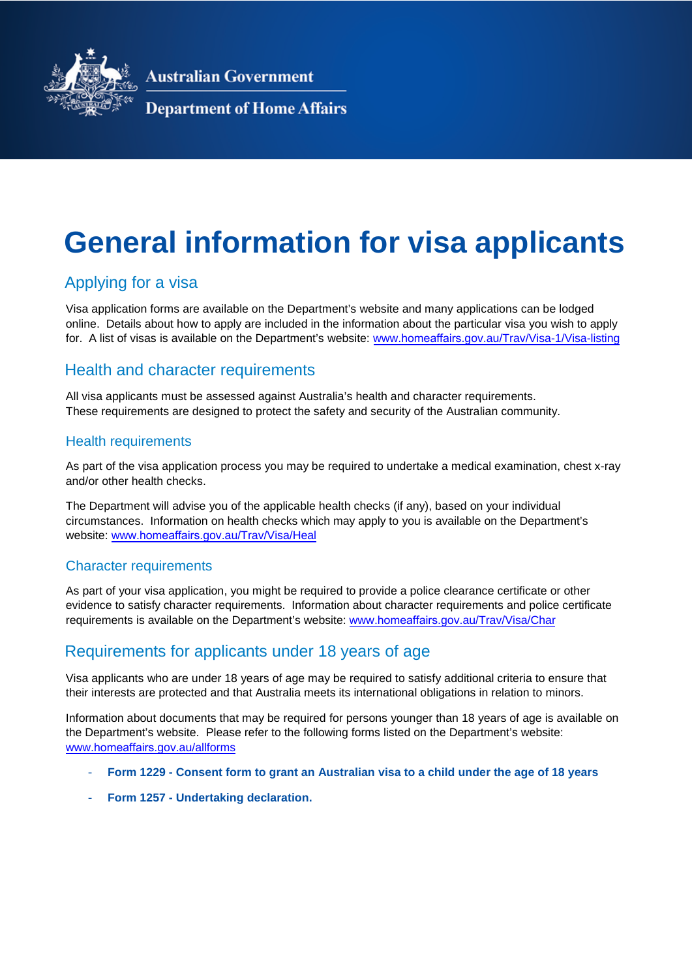

**Australian Government** 

## **Department of Home Affairs**

# **General information for visa applicants**

# Applying for a visa

Visa application forms are available on the Department's website and many applications can be lodged online. Details about how to apply are included in the information about the particular visa you wish to apply for. A list of visas is available on the Department's website: www.homeaffairs[.gov.au/Trav/Visa-1/Visa-lis](http://www.border.gov.au/Trav/Visa-1/Visa-listing)ting

# Health and character requirements

All visa applicants must be assessed against Australia's health and character requirements. These requirements are designed to protect the safety and security of the Australian community.

#### Health requirements

As part of the visa application process you may be required to undertake a medical examination, chest x-ray and/or other health checks.

The Department will advise you of the applicable health checks (if any), based on your individual circumstances. Information on health checks which may apply to you is available on the Department's website: www.homeaffairs.[gov.au/Trav/Visa/H](http://www.border.gov.au/Trav/Visa/Heal)eal

#### Character requirements

As part of your visa application, you might be required to provide a police clearance certificate or other evidence to satisfy character requirements. Information about character requirements and police certificate requirements is available on the Department's website: www.homeaffairs[.gov.au/Trav/Visa/C](http://www.border.gov.au/Trav/Visa/Char)har

# Requirements for applicants under 18 years of age

Visa applicants who are under 18 years of age may be required to satisfy additional criteria to ensure that their interests are protected and that Australia meets its international obligations in relation to minors.

Information about documents that may be required for persons younger than 18 years of age is available on the Department's website. Please refer to the following forms listed on the Department's website: www.[homeaffairs.](http://www.border.gov.au/allforms)gov.au/allforms

- **Form 1229 Consent form to grant an Australian visa to a child under the age of 18 years**
- **Form 1257 Undertaking declaration.**